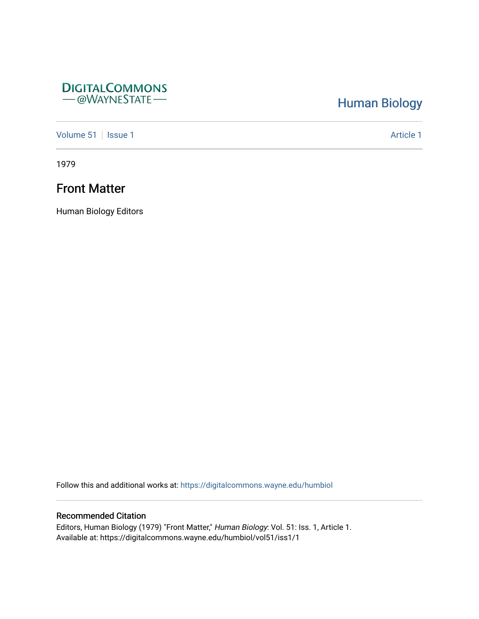## **DIGITALCOMMONS** - @WAYNESTATE-

# [Human Biology](https://digitalcommons.wayne.edu/humbiol)

[Volume 51](https://digitalcommons.wayne.edu/humbiol/vol51) | [Issue 1](https://digitalcommons.wayne.edu/humbiol/vol51/iss1) Article 1

1979

# Front Matter

Human Biology Editors

Follow this and additional works at: [https://digitalcommons.wayne.edu/humbiol](https://digitalcommons.wayne.edu/humbiol?utm_source=digitalcommons.wayne.edu%2Fhumbiol%2Fvol51%2Fiss1%2F1&utm_medium=PDF&utm_campaign=PDFCoverPages) 

## Recommended Citation

Editors, Human Biology (1979) "Front Matter," Human Biology: Vol. 51: Iss. 1, Article 1. Available at: https://digitalcommons.wayne.edu/humbiol/vol51/iss1/1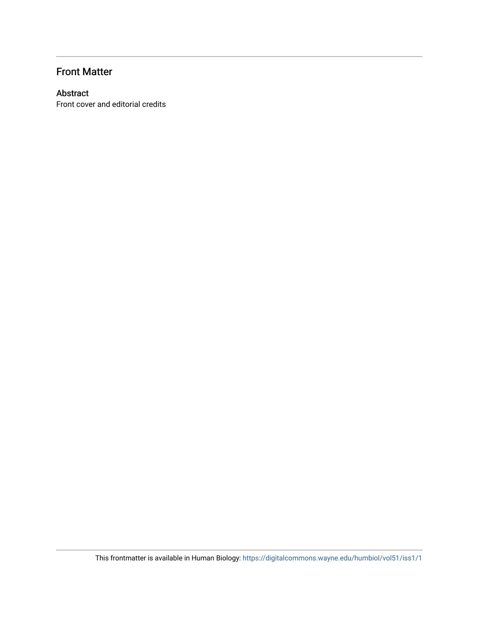## Front Matter

## Abstract

Front cover and editorial credits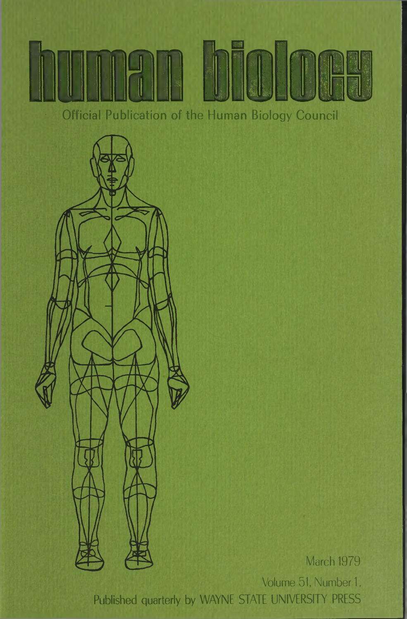**Official Publication of the Human Biology Council**



March 1979

Volume 51, Number 1, Published quarterly by WAYNE STATE UNIVERSITY PRESS